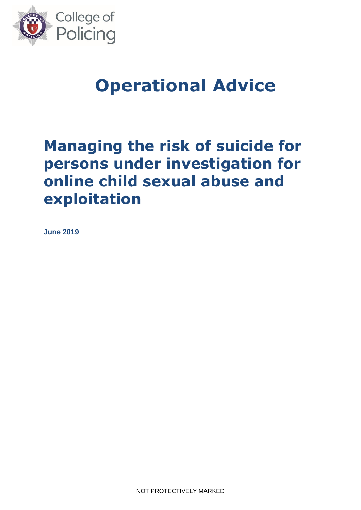

# **Operational Advice**

# **Managing the risk of suicide for persons under investigation for online child sexual abuse and exploitation**

**June 2019**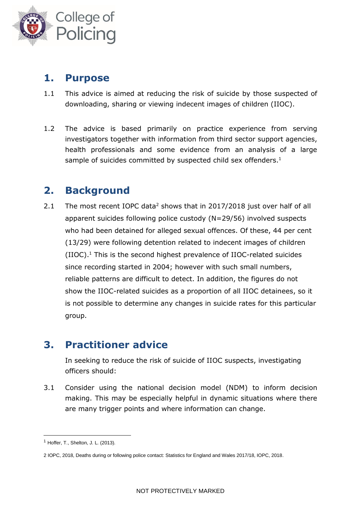

### **1. Purpose**

- 1.1 This advice is aimed at reducing the risk of suicide by those suspected of downloading, sharing or viewing indecent images of children (IIOC).
- 1.2 The advice is based primarily on practice experience from serving investigators together with information from third sector support agencies, health professionals and some evidence from an analysis of a large sample of suicides committed by suspected child sex offenders.<sup>1</sup>

## **2. Background**

2.1 The most recent IOPC data<sup>2</sup> shows that in 2017/2018 just over half of all apparent suicides following police custody (N=29/56) involved suspects who had been detained for alleged sexual offences. Of these, 44 per cent (13/29) were following detention related to indecent images of children (IIOC). <sup>1</sup> This is the second highest prevalence of IIOC-related suicides since recording started in 2004; however with such small numbers, reliable patterns are difficult to detect. In addition, the figures do not show the IIOC-related suicides as a proportion of all IIOC detainees, so it is not possible to determine any changes in suicide rates for this particular group.

## **3. Practitioner advice**

In seeking to reduce the risk of suicide of IIOC suspects, investigating officers should:

3.1 Consider using the national decision model (NDM) to inform decision making. This may be especially helpful in dynamic situations where there are many trigger points and where information can change.

1

<sup>1</sup> Hoffer, T., Shelton, J. L. (2013).

<sup>2</sup> IOPC, 2018, Deaths during or following police contact: Statistics for England and Wales 2017/18, IOPC, 2018.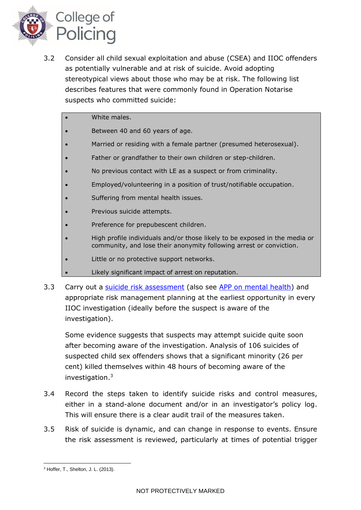

- 3.2 Consider all child sexual exploitation and abuse (CSEA) and IIOC offenders as potentially vulnerable and at risk of suicide. Avoid adopting stereotypical views about those who may be at risk. The following list describes features that were commonly found in Operation Notarise suspects who committed suicide:
	- White males.
	- Between 40 and 60 years of age.
	- Married or residing with a female partner (presumed heterosexual).
	- Father or grandfather to their own children or step-children.
	- No previous contact with LE as a suspect or from criminality.
	- Employed/volunteering in a position of trust/notifiable occupation.
	- Suffering from mental health issues.
	- Previous suicide attempts.
	- Preference for prepubescent children.
	- High profile individuals and/or those likely to be exposed in the media or community, and lose their anonymity following arrest or conviction.
	- Little or no protective support networks.
	- Likely significant impact of arrest on reputation.
- 3.3 Carry out a [suicide risk assessment](https://www.app.college.police.uk/app-content/detention-and-custody-2/risk-assessment/#top) (also see [APP on mental health\)](https://www.app.college.police.uk/app-content/mental-health/mental-vulnerability-and-illness/) and appropriate risk management planning at the earliest opportunity in every IIOC investigation (ideally before the suspect is aware of the investigation).

Some evidence suggests that suspects may attempt suicide quite soon after becoming aware of the investigation. Analysis of 106 suicides of suspected child sex offenders shows that a significant minority (26 per cent) killed themselves within 48 hours of becoming aware of the investigation. 3

- 3.4 Record the steps taken to identify suicide risks and control measures, either in a stand-alone document and/or in an investigator's policy log. This will ensure there is a clear audit trail of the measures taken.
- 3.5 Risk of suicide is dynamic, and can change in response to events. Ensure the risk assessment is reviewed, particularly at times of potential trigger

<sup>1</sup> <sup>3</sup> Hoffer, T., Shelton, J. L. (2013).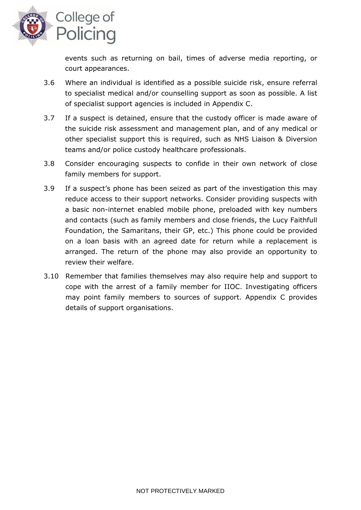

events such as returning on bail, times of adverse media reporting, or court appearances.

- 3.6 Where an individual is identified as a possible suicide risk, ensure referral to specialist medical and/or counselling support as soon as possible. A list of specialist support agencies is included in Appendix C.
- 3.7 If a suspect is detained, ensure that the custody officer is made aware of the suicide risk assessment and management plan, and of any medical or other specialist support this is required, such as NHS Liaison & Diversion teams and/or police custody healthcare professionals.
- 3.8 Consider encouraging suspects to confide in their own network of close family members for support.
- 3.9 If a suspect's phone has been seized as part of the investigation this may reduce access to their support networks. Consider providing suspects with a basic non-internet enabled mobile phone, preloaded with key numbers and contacts (such as family members and close friends, the Lucy Faithfull Foundation, the Samaritans, their GP, etc.) This phone could be provided on a loan basis with an agreed date for return while a replacement is arranged. The return of the phone may also provide an opportunity to review their welfare.
- 3.10 Remember that families themselves may also require help and support to cope with the arrest of a family member for IIOC. Investigating officers may point family members to sources of support. Appendix C provides details of support organisations.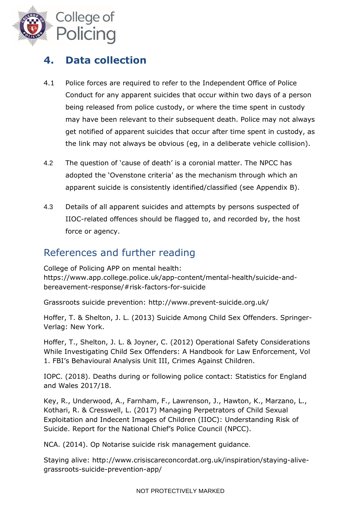

## **4. Data collection**

- 4.1 Police forces are required to refer to the Independent Office of Police Conduct for any apparent suicides that occur within two days of a person being released from police custody, or where the time spent in custody may have been relevant to their subsequent death. Police may not always get notified of apparent suicides that occur after time spent in custody, as the link may not always be obvious (eg, in a deliberate vehicle collision).
- 4.2 The question of 'cause of death' is a coronial matter. The NPCC has adopted the 'Ovenstone criteria' as the mechanism through which an apparent suicide is consistently identified/classified (see Appendix B).
- 4.3 Details of all apparent suicides and attempts by persons suspected of IIOC-related offences should be flagged to, and recorded by, the host force or agency.

### References and further reading

College of Policing APP on mental health: https://www.app.college.police.uk/app-content/mental-health/suicide-andbereavement-response/#risk-factors-for-suicide

Grassroots suicide prevention: <http://www.prevent-suicide.org.uk/>

Hoffer, T. & Shelton, J. L. (2013) Suicide Among Child Sex Offenders. Springer-Verlag: New York.

Hoffer, T., Shelton, J. L. & Joyner, C. (2012) Operational Safety Considerations While Investigating Child Sex Offenders: A Handbook for Law Enforcement, Vol 1. FBI's Behavioural Analysis Unit III, Crimes Against Children.

IOPC. (2018). Deaths during or following police contact: Statistics for England and Wales 2017/18.

Key, R., Underwood, A., Farnham, F., Lawrenson, J., Hawton, K., Marzano, L., Kothari, R. & Cresswell, L. (2017) Managing Perpetrators of Child Sexual Exploitation and Indecent Images of Children (IIOC): Understanding Risk of Suicide. Report for the National Chief's Police Council (NPCC).

NCA. (2014). Op Notarise suicide risk management guidance.

Staying alive: [http://www.crisiscareconcordat.org.uk/inspiration/staying-alive](http://www.crisiscareconcordat.org.uk/inspiration/staying-alive-grassroots-suicide-prevention-app/)[grassroots-suicide-prevention-app/](http://www.crisiscareconcordat.org.uk/inspiration/staying-alive-grassroots-suicide-prevention-app/)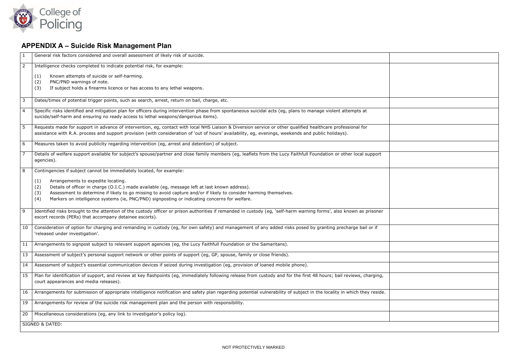

## **APPENDIX A – Suicide Risk Management Plan**

| $\mathbf{1}$   | General risk factors considered and overall assessment of likely risk of suicide.                                                                                                                                                                  |  |  |  |
|----------------|----------------------------------------------------------------------------------------------------------------------------------------------------------------------------------------------------------------------------------------------------|--|--|--|
| $\overline{2}$ | Intelligence checks completed to indicate potential risk, for example:                                                                                                                                                                             |  |  |  |
|                | Known attempts of suicide or self-harming.<br>(1)                                                                                                                                                                                                  |  |  |  |
|                | PNC/PND warnings of note.<br>(2)                                                                                                                                                                                                                   |  |  |  |
|                | If subject holds a firearms licence or has access to any lethal weapons.<br>(3)                                                                                                                                                                    |  |  |  |
| س              | Dates/times of potential trigger points, such as search, arrest, return on bail, charge, etc.                                                                                                                                                      |  |  |  |
| $\overline{4}$ | Specific risks identified and mitigation plan for officers during intervention phase from spontaneous suicidal acts (eg, plans to manage violent attempts at<br>suicide/self-harm and ensuring no ready access to lethal weapons/dangerous items). |  |  |  |
| $\overline{5}$ | Requests made for support in advance of intervention, eg, contact with local NHS Liaison & Diversion service or other qualified healthcare professional for                                                                                        |  |  |  |
|                | assistance with R.A. process and support provision (with consideration of 'out of hours' availability, eg, evenings, weekends and public holidays).                                                                                                |  |  |  |
| 6              | Measures taken to avoid publicity regarding intervention (eg, arrest and detention) of subject.                                                                                                                                                    |  |  |  |
| $\overline{7}$ | Details of welfare support available for subject's spouse/partner and close family members (eg, leaflets from the Lucy Faithfull Foundation or other local support<br>agencies).                                                                   |  |  |  |
| 8              | Contingencies if subject cannot be immediately located, for example:                                                                                                                                                                               |  |  |  |
|                | Arrangements to expedite locating.<br>(1)                                                                                                                                                                                                          |  |  |  |
|                | Details of officer in charge (O.I.C.) made available (eg, message left at last known address).<br>(2)                                                                                                                                              |  |  |  |
|                | Assessment to determine if likely to go missing to avoid capture and/or if likely to consider harming themselves.<br>(3)                                                                                                                           |  |  |  |
|                | Markers on intelligence systems (ie, PNC/PND) signposting or indicating concerns for welfare.<br>(4)                                                                                                                                               |  |  |  |
| $\overline{9}$ | Identified risks brought to the attention of the custody officer or prison authorities if remanded in custody (eg, 'self-harm warning forms', also known as prisoner<br>escort records (PERs) that accompany detainee escorts).                    |  |  |  |
| 10             | Consideration of option for charging and remanding in custody (eg, for own safety) and management of any added risks posed by granting precharge bail or if<br>'released under investigation'.                                                     |  |  |  |
| 11             | Arrangements to signpost subject to relevant support agencies (eg, the Lucy Faithfull Foundation or the Samaritans).                                                                                                                               |  |  |  |
| 13             | Assessment of subject's personal support network or other points of support (eq, GP, spouse, family or close friends).                                                                                                                             |  |  |  |
| 14             | Assessment of subject's essential communication devices if seized during investigation (eq, provision of loaned mobile phone).                                                                                                                     |  |  |  |
| 15             | Plan for identification of support, and review at key flashpoints (eg, immediately following release from custody and for the first 48 hours; bail reviews, charging,<br>court appearances and media releases).                                    |  |  |  |
| 16             | Arrangements for submission of appropriate intelligence notification and safety plan regarding potential vulnerability of subject in the locality in which they reside.                                                                            |  |  |  |
| 19             | Arrangements for review of the suicide risk management plan and the person with responsibility.                                                                                                                                                    |  |  |  |
| 20             | Miscellaneous considerations (eg, any link to investigator's policy log).                                                                                                                                                                          |  |  |  |
|                | SIGNED & DATED:                                                                                                                                                                                                                                    |  |  |  |
|                |                                                                                                                                                                                                                                                    |  |  |  |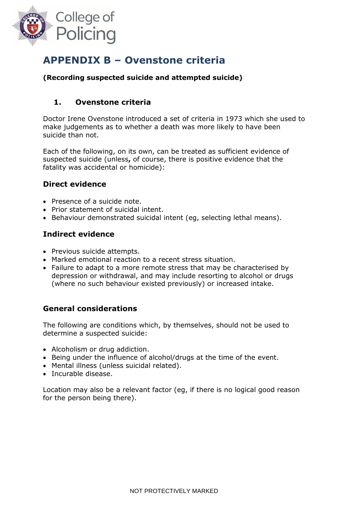

## **APPENDIX B – Ovenstone criteria**

#### **(Recording suspected suicide and attempted suicide)**

#### **1. Ovenstone criteria**

Doctor Irene Ovenstone introduced a set of criteria in 1973 which she used to make judgements as to whether a death was more likely to have been suicide than not.

Each of the following, on its own, can be treated as sufficient evidence of suspected suicide (unless**,** of course, there is positive evidence that the fatality was accidental or homicide):

#### **Direct evidence**

- Presence of a suicide note.
- Prior statement of suicidal intent.
- Behaviour demonstrated suicidal intent (eg. selecting lethal means).

#### **Indirect evidence**

- Previous suicide attempts.
- Marked emotional reaction to a recent stress situation.
- Failure to adapt to a more remote stress that may be characterised by depression or withdrawal, and may include resorting to alcohol or drugs (where no such behaviour existed previously) or increased intake.

#### **General considerations**

The following are conditions which, by themselves, should not be used to determine a suspected suicide:

- Alcoholism or drug addiction.
- Being under the influence of alcohol/drugs at the time of the event.
- Mental illness (unless suicidal related).
- Incurable disease.

Location may also be a relevant factor (eg, if there is no logical good reason for the person being there).